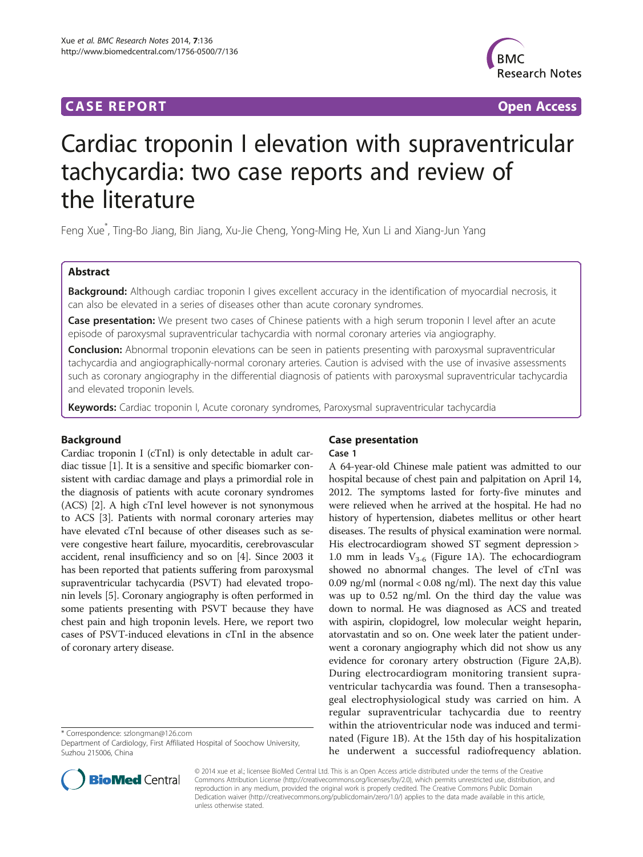# **CASE REPORT CASE REPORT CASE REPORT**



# Cardiac troponin I elevation with supraventricular tachycardia: two case reports and review of the literature

Feng Xue\* , Ting-Bo Jiang, Bin Jiang, Xu-Jie Cheng, Yong-Ming He, Xun Li and Xiang-Jun Yang

# Abstract

Background: Although cardiac troponin I gives excellent accuracy in the identification of myocardial necrosis, it can also be elevated in a series of diseases other than acute coronary syndromes.

Case presentation: We present two cases of Chinese patients with a high serum troponin I level after an acute episode of paroxysmal supraventricular tachycardia with normal coronary arteries via angiography.

**Conclusion:** Abnormal troponin elevations can be seen in patients presenting with paroxysmal supraventricular tachycardia and angiographically-normal coronary arteries. Caution is advised with the use of invasive assessments such as coronary angiography in the differential diagnosis of patients with paroxysmal supraventricular tachycardia and elevated troponin levels.

Keywords: Cardiac troponin I, Acute coronary syndromes, Paroxysmal supraventricular tachycardia

# Background

Cardiac troponin I (cTnI) is only detectable in adult cardiac tissue [\[1\]](#page-2-0). It is a sensitive and specific biomarker consistent with cardiac damage and plays a primordial role in the diagnosis of patients with acute coronary syndromes (ACS) [[2](#page-2-0)]. A high cTnI level however is not synonymous to ACS [[3\]](#page-3-0). Patients with normal coronary arteries may have elevated cTnI because of other diseases such as severe congestive heart failure, myocarditis, cerebrovascular accident, renal insufficiency and so on [\[4](#page-3-0)]. Since 2003 it has been reported that patients suffering from paroxysmal supraventricular tachycardia (PSVT) had elevated troponin levels [\[5](#page-3-0)]. Coronary angiography is often performed in some patients presenting with PSVT because they have chest pain and high troponin levels. Here, we report two cases of PSVT-induced elevations in cTnI in the absence of coronary artery disease.

\* Correspondence: [szlongman@126.com](mailto:szlongman@126.com)

Department of Cardiology, First Affiliated Hospital of Soochow University, Suzhou 215006, China

# Case presentation

## Case 1

A 64-year-old Chinese male patient was admitted to our hospital because of chest pain and palpitation on April 14, 2012. The symptoms lasted for forty-five minutes and were relieved when he arrived at the hospital. He had no history of hypertension, diabetes mellitus or other heart diseases. The results of physical examination were normal. His electrocardiogram showed ST segment depression > 1.0 mm in leads  $V_{3-6}$  (Figure [1](#page-1-0)A). The echocardiogram showed no abnormal changes. The level of cTnI was 0.09 ng/ml (normal < 0.08 ng/ml). The next day this value was up to 0.52 ng/ml. On the third day the value was down to normal. He was diagnosed as ACS and treated with aspirin, clopidogrel, low molecular weight heparin, atorvastatin and so on. One week later the patient underwent a coronary angiography which did not show us any evidence for coronary artery obstruction (Figure [2](#page-1-0)A,B). During electrocardiogram monitoring transient supraventricular tachycardia was found. Then a transesophageal electrophysiological study was carried on him. A regular supraventricular tachycardia due to reentry within the atrioventricular node was induced and terminated (Figure [1](#page-1-0)B). At the 15th day of his hospitalization he underwent a successful radiofrequency ablation.



© 2014 xue et al.; licensee BioMed Central Ltd. This is an Open Access article distributed under the terms of the Creative Commons Attribution License [\(http://creativecommons.org/licenses/by/2.0\)](http://creativecommons.org/licenses/by/2.0), which permits unrestricted use, distribution, and reproduction in any medium, provided the original work is properly credited. The Creative Commons Public Domain Dedication waiver [\(http://creativecommons.org/publicdomain/zero/1.0/](http://creativecommons.org/publicdomain/zero/1.0/)) applies to the data made available in this article, unless otherwise stated.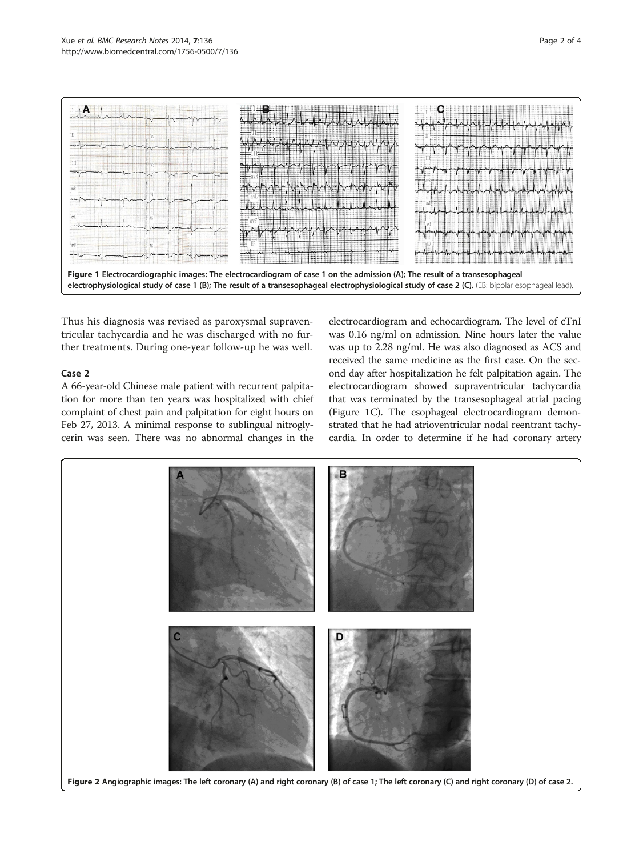<span id="page-1-0"></span>

Thus his diagnosis was revised as paroxysmal supraventricular tachycardia and he was discharged with no further treatments. During one-year follow-up he was well.

# Case 2

A 66-year-old Chinese male patient with recurrent palpitation for more than ten years was hospitalized with chief complaint of chest pain and palpitation for eight hours on Feb 27, 2013. A minimal response to sublingual nitroglycerin was seen. There was no abnormal changes in the

electrocardiogram and echocardiogram. The level of cTnI was 0.16 ng/ml on admission. Nine hours later the value was up to 2.28 ng/ml. He was also diagnosed as ACS and received the same medicine as the first case. On the second day after hospitalization he felt palpitation again. The electrocardiogram showed supraventricular tachycardia that was terminated by the transesophageal atrial pacing (Figure 1C). The esophageal electrocardiogram demonstrated that he had atrioventricular nodal reentrant tachycardia. In order to determine if he had coronary artery

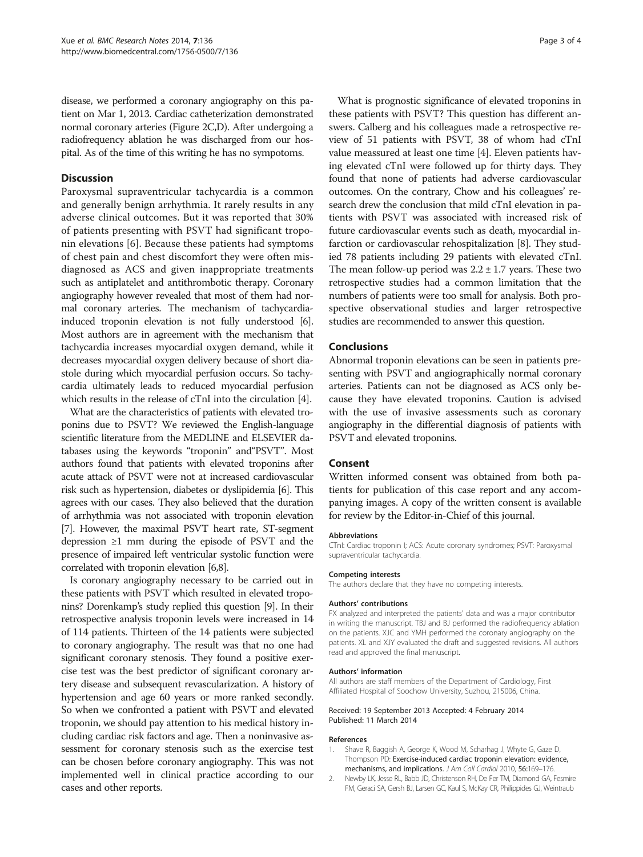<span id="page-2-0"></span>disease, we performed a coronary angiography on this patient on Mar 1, 2013. Cardiac catheterization demonstrated normal coronary arteries (Figure [2](#page-1-0)C,D). After undergoing a radiofrequency ablation he was discharged from our hospital. As of the time of this writing he has no sympotoms.

## **Discussion**

Paroxysmal supraventricular tachycardia is a common and generally benign arrhythmia. It rarely results in any adverse clinical outcomes. But it was reported that 30% of patients presenting with PSVT had significant troponin elevations [[6\]](#page-3-0). Because these patients had symptoms of chest pain and chest discomfort they were often misdiagnosed as ACS and given inappropriate treatments such as antiplatelet and antithrombotic therapy. Coronary angiography however revealed that most of them had normal coronary arteries. The mechanism of tachycardiainduced troponin elevation is not fully understood [[6](#page-3-0)]. Most authors are in agreement with the mechanism that tachycardia increases myocardial oxygen demand, while it decreases myocardial oxygen delivery because of short diastole during which myocardial perfusion occurs. So tachycardia ultimately leads to reduced myocardial perfusion which results in the release of cTnI into the circulation [\[4\]](#page-3-0).

What are the characteristics of patients with elevated troponins due to PSVT? We reviewed the English-language scientific literature from the MEDLINE and ELSEVIER databases using the keywords "troponin" and"PSVT". Most authors found that patients with elevated troponins after acute attack of PSVT were not at increased cardiovascular risk such as hypertension, diabetes or dyslipidemia [[6](#page-3-0)]. This agrees with our cases. They also believed that the duration of arrhythmia was not associated with troponin elevation [[7](#page-3-0)]. However, the maximal PSVT heart rate, ST-segment depression ≥1 mm during the episode of PSVT and the presence of impaired left ventricular systolic function were correlated with troponin elevation [[6,8\]](#page-3-0).

Is coronary angiography necessary to be carried out in these patients with PSVT which resulted in elevated troponins? Dorenkamp's study replied this question [\[9](#page-3-0)]. In their retrospective analysis troponin levels were increased in 14 of 114 patients. Thirteen of the 14 patients were subjected to coronary angiography. The result was that no one had significant coronary stenosis. They found a positive exercise test was the best predictor of significant coronary artery disease and subsequent revascularization. A history of hypertension and age 60 years or more ranked secondly. So when we confronted a patient with PSVT and elevated troponin, we should pay attention to his medical history including cardiac risk factors and age. Then a noninvasive assessment for coronary stenosis such as the exercise test can be chosen before coronary angiography. This was not implemented well in clinical practice according to our cases and other reports.

What is prognostic significance of elevated troponins in these patients with PSVT? This question has different answers. Calberg and his colleagues made a retrospective review of 51 patients with PSVT, 38 of whom had cTnI value meassured at least one time [\[4](#page-3-0)]. Eleven patients having elevated cTnI were followed up for thirty days. They found that none of patients had adverse cardiovascular outcomes. On the contrary, Chow and his colleagues' research drew the conclusion that mild cTnI elevation in patients with PSVT was associated with increased risk of future cardiovascular events such as death, myocardial infarction or cardiovascular rehospitalization [\[8\]](#page-3-0). They studied 78 patients including 29 patients with elevated cTnI. The mean follow-up period was  $2.2 \pm 1.7$  years. These two retrospective studies had a common limitation that the numbers of patients were too small for analysis. Both prospective observational studies and larger retrospective studies are recommended to answer this question.

### Conclusions

Abnormal troponin elevations can be seen in patients presenting with PSVT and angiographically normal coronary arteries. Patients can not be diagnosed as ACS only because they have elevated troponins. Caution is advised with the use of invasive assessments such as coronary angiography in the differential diagnosis of patients with PSVT and elevated troponins.

### Consent

Written informed consent was obtained from both patients for publication of this case report and any accompanying images. A copy of the written consent is available for review by the Editor-in-Chief of this journal.

#### Abbreviations

CTnI: Cardiac troponin I; ACS: Acute coronary syndromes; PSVT: Paroxysmal supraventricular tachycardia.

#### Competing interests

The authors declare that they have no competing interests.

#### Authors' contributions

FX analyzed and interpreted the patients' data and was a major contributor in writing the manuscript. TBJ and BJ performed the radiofrequency ablation on the patients. XJC and YMH performed the coronary angiography on the patients. XL and XJY evaluated the draft and suggested revisions. All authors read and approved the final manuscript.

#### Authors' information

All authors are staff members of the Department of Cardiology, First Affiliated Hospital of Soochow University, Suzhou, 215006, China.

#### Received: 19 September 2013 Accepted: 4 February 2014 Published: 11 March 2014

#### References

- 1. Shave R, Baggish A, George K, Wood M, Scharhag J, Whyte G, Gaze D, Thompson PD: Exercise-induced cardiac troponin elevation: evidence, mechanisms, and implications. J Am Coll Cardiol 2010, 56:169–176.
- 2. Newby LK, Jesse RL, Babb JD, Christenson RH, De Fer TM, Diamond GA, Fesmire FM, Geraci SA, Gersh BJ, Larsen GC, Kaul S, McKay CR, Philippides GJ, Weintraub